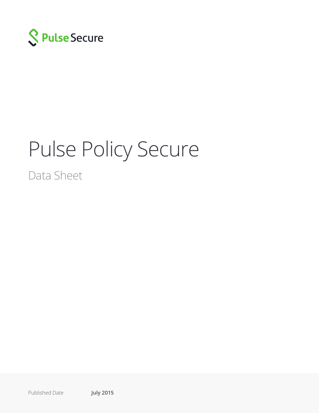

# Pulse Policy Secure

Data Sheet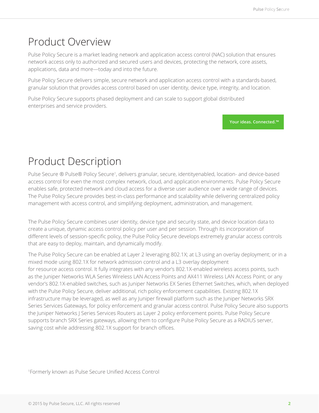# Product Overview

Pulse Policy Secure is a market leading network and application access control (NAC) solution that ensures network access only to authorized and secured users and devices, protecting the network, core assets, applications, data and more—today and into the future.

Pulse Policy Secure delivers simple, secure network and application access control with a standards-based, granular solution that provides access control based on user identity, device type, integrity, and location.

Pulse Policy Secure supports phased deployment and can scale to support global distributed enterprises and service providers.

**Your ideas. Connected.™**

# Product Description

Pulse Secure ® Pulse® Policy Secure<sup>1</sup>, delivers granular, secure, identityenabled, location- and device-based access control for even the most complex network, cloud, and application environments. Pulse Policy Secure enables safe, protected network and cloud access for a diverse user audience over a wide range of devices. The Pulse Policy Secure provides best-in-class performance and scalability while delivering centralized policy management with access control, and simplifying deployment, administration, and management.

The Pulse Policy Secure combines user identity, device type and security state, and device location data to create a unique, dynamic access control policy per user and per session. Through its incorporation of different levels of session-specific policy, the Pulse Policy Secure develops extremely granular access controls that are easy to deploy, maintain, and dynamically modify.

The Pulse Policy Secure can be enabled at Layer 2 leveraging 802.1X; at L3 using an overlay deployment; or in a mixed mode using 802.1X for network admission control and a L3 overlay deployment for resource access control. It fully integrates with any vendor's 802.1X-enabled wireless access points, such as the Juniper Networks WLA Series Wireless LAN Access Points and AX411 Wireless LAN Access Point; or any vendor's 802.1X-enabled switches, such as Juniper Networks EX Series Ethernet Switches, which, when deployed with the Pulse Policy Secure, deliver additional, rich policy enforcement capabilities. Existing 802.1X infrastructure may be leveraged, as well as any Juniper firewall platform such as the Juniper Networks SRX Series Services Gateways, for policy enforcement and granular access control. Pulse Policy Secure also supports the Juniper Networks J Series Services Routers as Layer 2 policy enforcement points. Pulse Policy Secure supports branch SRX Series gateways, allowing them to configure Pulse Policy Secure as a RADIUS server, saving cost while addressing 802.1X support for branch offices.

1 Formerly known as Pulse Secure Unified Access Control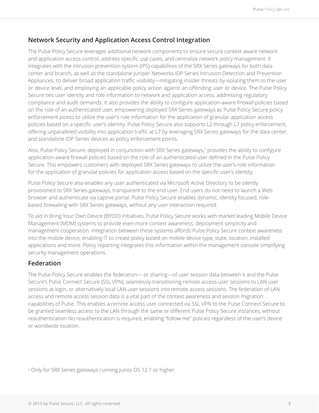# **Network Security and Application Access Control Integration**

The Pulse Policy Secure leverages additional network components to ensure secure context aware network and application access control, address specific use cases, and centralize network policy management. It integrates with the intrusion prevention system (IPS) capabilities of the SRX Series gateways for both data center and branch, as well as the standalone Juniper Networks IDP Series Intrusion Detection and Prevention Appliances, to deliver broad application traffic visibility—mitigating insider threats by isolating them to the user or device level, and employing an applicable policy action against an offending user or device. The Pulse Policy Secure ties user identity and role information to network and application access, addressing regulatory compliance and audit demands. It also provides the ability to configure application-aware firewall policies based on the role of an authenticated user, empowering deployed SRX Series gateways as Pulse Policy Secure policy enforcement points to utilize the user's role information for the application of granular application access policies based on a specific user's identity. Pulse Policy Secure also supports L2 through L7 policy enforcement, offering unparalleled visibility into application traffic at L7 by leveraging SRX Series gateways for the data center, and standalone IDP Series devices as policy enforcement points.

Also, Pulse Policy Secure, deployed in conjunction with SRX Series gateways,<sup>2</sup> provides the ability to configure application-aware firewall policies based on the role of an authenticated user defined in the Pulse Policy Secure. This empowers customers with deployed SRX Series gateways to utilize the user's role information for the application of granular policies for application access based on the specific user's identity.

Pulse Policy Secure also enables any user authenticated via Microsoft Active Directory to be silently provisioned to SRX Series gateways, transparent to the end user. End users do not need to launch a Web browser and authenticate via captive portal. Pulse Policy Secure enables dynamic, identity focused, rolebased firewalling with SRX Series gateways, without any user interaction required.

To aid in Bring Your Own Device (BYOD) initiatives, Pulse Policy Secure works with market leading Mobile Device Management (MDM) systems to provide even more context awareness, deployment simplicity and management cooperation. Integration between these systems affords Pulse Policy Secure context awareness into the mobile device, enabling IT to create policy based on mobile device type, state, location, installed applications and more. Policy reporting integrates this information within the management console simplifying security management operations.

### **Federation**

The Pulse Policy Secure enables the federation— or sharing—of user session data between it and the Pulse Secure's Pulse Connect Secure (SSL VPN), seamlessly transitioning remote access user sessions to LAN user sessions at login, or alternatively local LAN user sessions into remote access sessions. The federation of LAN access and remote access session data is a vital part of the context awareness and session migration capabilities of Pulse. This enables a remote access user connected via SSL VPN to the Pulse Connect Secure to be granted seamless access to the LAN through the same or different Pulse Policy Secure instances, without reauthentication No reauthentication is required, enabling "follow-me" policies regardless of the user's device or worldwide location.

2 Only for SRX Series gateways running Junos OS 12.1 or higher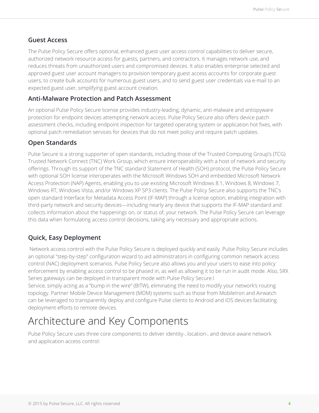### **Guest Access**

The Pulse Policy Secure offers optional, enhanced guest user access control capabilities to deliver secure, authorized network resource access for guests, partners, and contractors. It manages network use, and reduces threats from unauthorized users and compromised devices. It also enables enterprise selected and approved guest user account managers to provision temporary guest access accounts for corporate guest users, to create bulk accounts for numerous guest users, and to send guest user credentials via e-mail to an expected guest user, simplifying guest account creation.

### **Anti-Malware Protection and Patch Assessment**

An optional Pulse Policy Secure license provides industry-leading, dynamic, anti-malware and antispyware protection for endpoint devices attempting network access. Pulse Policy Secure also offers device patch assessment checks, including endpoint inspection for targeted operating system or application hot fixes, with optional patch remediation services for devices that do not meet policy and require patch updates.

### **Open Standards**

Pulse Secure is a strong supporter of open standards, including those of the Trusted Computing Group's (TCG) Trusted Network Connect (TNC) Work Group, which ensure interoperability with a host of network and security offerings. Through its support of the TNC standard Statement of Health (SOH) protocol, the Pulse Policy Secure with optional SOH license interoperates with the Microsoft Windows SOH and embedded Microsoft Network Access Protection (NAP) Agents, enabling you to use existing Microsoft Windows 8.1, Windows 8, Windows 7, Windows RT, Windows Vista, and/or Windows XP SP3 clients. The Pulse Policy Secure also supports the TNC's open standard Interface for Metadata Access Point (IF-MAP) through a license option, enabling integration with third-party network and security devices—including nearly any device that supports the IF-MAP standard and collects information about the happenings on, or status of, your network. The Pulse Policy Secure can leverage this data when formulating access control decisions, taking any necessary and appropriate actions.

# **Quick, Easy Deployment**

 Network access control with the Pulse Policy Secure is deployed quickly and easily. Pulse Policy Secure includes an optional "step-by-step" configuration wizard to aid administrators in configuring common network access control (NAC) deployment scenarios. Pulse Policy Secure also allows you and your users to ease into policy enforcement by enabling access control to be phased in, as well as allowing it to be run in audit mode. Also, SRX Series gateways can be deployed in transparent mode with Pulse Policy Secure.l Service, simply acting as a "bump in the wire" (BITW), eliminating the need to modify your network's routing

topology. Partner Mobile Device Management (MDM) systems such as those from MobileIron and Airwatch can be leveraged to transparently deploy and configure Pulse clients to Android and iOS devices facilitating deployment efforts to remote devices.

# Architecture and Key Components

Pulse Policy Secure uses three core components to deliver identity-, location-, and device-aware network and application access control: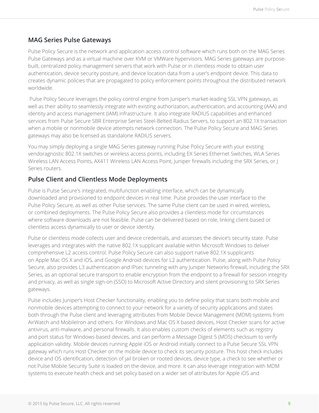### **MAG Series Pulse Gateways**

Pulse Policy Secure is the network and application access control software which runs both on the MAG Series Pulse Gateways and as a virtual machine over KVM or VMWare hypervisors. MAG Series gateways are purposebuilt, centralized policy management servers that work with Pulse or in clientless mode to obtain user authentication, device security posture, and device location data from a user's endpoint device. This data to creates dynamic policies that are propagated to policy enforcement points throughout the distributed network worldwide.

 Pulse Policy Secure leverages the policy control engine from Juniper's market-leading SSL VPN gateways, as well as their ability to seamlessly integrate with existing authorization, authentication, and accounting (AAA) and identity and access management (IAM) infrastructure. It also integrate RADIUS capabilities and enhanced services from Pulse Secure SBR Enterprise Series Steel-Belted Radius Servers, to support an 802.1X transaction when a mobile or nonmobile device attempts network connection. The Pulse Policy Secure and MAG Series gateways may also be licensed as standalone RADIUS servers.

You may simply deploying a single MAG Series gateway running Pulse Policy Secure with your existing vendoragnostic 802.1X switches or wireless access points, including EX Series Ethernet Switches, WLA Series Wireless LAN Access Points, AX411 Wireless LAN Access Point, Juniper firewalls including the SRX Series, or J Series routers.

### **Pulse Client and Clientless Mode Deployments**

Pulse is Pulse Secure's integrated, multifunction enabling interface, which can be dynamically downloaded and provisioned to endpoint devices in real time. Pulse provides the user interface to the Pulse Policy Secure, as well as other Pulse services. The same Pulse client can be used in wired, wireless, or combined deployments. The Pulse Policy Secure also provides a clientless mode for circumstances where software downloads are not feasible. Pulse can be delivered based on role, linking client-based or clientless access dynamically to user or device identity.

Pulse or clientless mode collects user and device credentials, and assesses the device's security state. Pulse leverages and integrates with the native 802.1X supplicant available within Microsoft Windows to deliver comprehensive L2 access control. Pulse Policy Secure can also support native 802.1X supplicants on Apple Mac OS X and iOS, and Google Android devices for L2 authentication. Pulse, along with Pulse Policy Secure, also provides L3 authentication and IPsec tunneling with any Juniper Networks firewall, including the SRX Series, as an optional secure transport to enable encryption from the endpoint to a firewall for session integrity and privacy, as well as single sign-on (SSO) to Microsoft Active Directory and silent provisioning to SRX Series gateways.

Pulse includes Juniper's Host Checker functionality, enabling you to define policy that scans both mobile and nonmobile devices attempting to connect to your network for a variety of security applications and states both through the Pulse client and leveraging attributes from Mobile Device Management (MDM) systems from AirWatch and MobileIron and others. For Windows and Mac OS X based devices, Host Checker scans for active antivirus, anti-malware, and personal firewalls. It also enables custom checks of elements such as registry and port status for Windows-based devices, and can perform a Message Digest 5 (MD5) checksum to verify application validity. Mobile devices running Apple iOS or Android initially connect to a Pulse Secure SSL VPN gateway which runs Host Checker on the mobile device to check its security posture. This host check includes device and OS identification, detection of jail broken or rooted devices, device type, a check to see whether or not Pulse Mobile Security Suite is loaded on the device, and more. It can also leverage integration with MDM systems to execute health check and set policy based on a wider set of attributes for Apple iOS and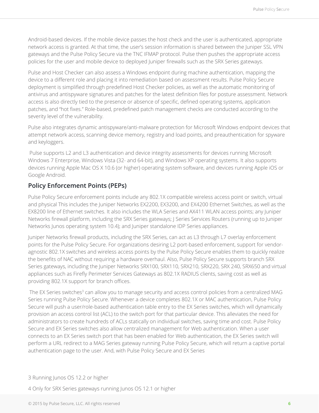Android-based devices. If the mobile device passes the host check and the user is authenticated, appropriate network access is granted. At that time, the user's session information is shared between the Juniper SSL VPN gateways and the Pulse Policy Secure via the TNC IFMAP protocol. Pulse then pushes the appropriate access policies for the user and mobile device to deployed Juniper firewalls such as the SRX Series gateways.

Pulse and Host Checker can also assess a Windows endpoint during machine authentication, mapping the device to a different role and placing it into remediation based on assessment results. Pulse Policy Secure deployment is simplified through predefined Host Checker policies, as well as the automatic monitoring of antivirus and antispyware signatures and patches for the latest definition files for posture assessment. Network access is also directly tied to the presence or absence of specific, defined operating systems, application patches, and "hot fixes." Role-based, predefined patch management checks are conducted according to the severity level of the vulnerability.

Pulse also integrates dynamic antispyware/anti-malware protection for Microsoft Windows endpoint devices that attempt network access, scanning device memory, registry and load points, and preauthentication for spyware and keyloggers.

 Pulse supports L2 and L3 authentication and device integrity assessments for devices running Microsoft Windows 7 Enterprise, Windows Vista (32- and 64-bit), and Windows XP operating systems. It also supports devices running Apple Mac OS X 10.6 (or higher) operating system software, and devices running Apple iOS or Google Android.

### **Policy Enforcement Points (PEPs)**

Pulse Policy Secure enforcement points include any 802.1X compatible wireless access point or switch, virtual and physical This includes the Juniper Networks EX2200, EX3200, and EX4200 Ethernet Switches, as well as the EX8200 line of Ethernet switches. It also includes the WLA Series and AX411 WLAN access points; any Juniper Networks firewall platform, including the SRX Series gateways; J Series Services Routers (running up to Juniper Networks Junos operating system 10.4); and Juniper standalone IDP Series appliances.

Juniper Networks firewall products, including the SRX Series, can act as L3 through L7 overlay enforcement points for the Pulse Policy Secure. For organizations desiring L2 port-based enforcement, support for vendoragnostic 802.1X switches and wireless access points by the Pulse Policy Secure enables them to quickly realize the benefits of NAC without requiring a hardware overhaul. Also, Pulse Policy Secure supports branch SRX Series gateways, including the Juniper Networks SRX100, SRX110, SRX210, SRX220, SRX 240, SRX650 and virtual appliances such as Firefly Perimeter Services Gateways as 802.1X RADIUS clients, saving cost as well as providing 802.1X support for branch offices.

The EX Series switches<sup>3</sup> can allow you to manage security and access control policies from a centralized MAG Series running Pulse Policy Secure. Whenever a device completes 802.1X or MAC authentication, Pulse Policy Secure will push a user/role-based authentication table entry to the EX Series switches, which will dynamically provision an access control list (ACL) to the switch port for that particular device. This alleviates the need for administrators to create hundreds of ACLs statically on individual switches, saving time and cost. Pulse Policy Secure and EX Series switches also allow centralized management for Web authentication. When a user connects to an EX Series switch port that has been enabled for Web authentication, the EX Series switch will perform a URL redirect to a MAG Series gateway running Pulse Policy Secure, which will return a captive portal authentication page to the user. And, with Pulse Policy Secure and EX Series

4 Only for SRX Series gateways running Junos OS 12.1 or higher

<sup>3</sup> Running Junos OS 12.2 or higher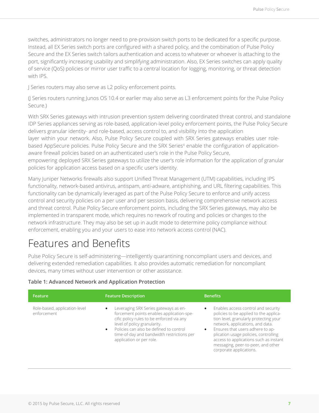switches, administrators no longer need to pre-provision switch ports to be dedicated for a specific purpose. Instead, all EX Series switch ports are configured with a shared policy, and the combination of Pulse Policy Secure and the EX Series switch tailors authentication and access to whatever or whoever is attaching to the port, significantly increasing usability and simplifying administration. Also, EX Series switches can apply quality of service (QoS) policies or mirror user traffic to a central location for logging, monitoring, or threat detection with IPS.

J Series routers may also serve as L2 policy enforcement points.

(J Series routers running Junos OS 10.4 or earlier may also serve as L3 enforcement points for the Pulse Policy Secure.)

With SRX Series gateways with intrusion prevention system delivering coordinated threat control, and standalone IDP Series appliances serving as role-based, application-level policy enforcement points, the Pulse Policy Secure delivers granular identity- and role-based, access control to, and visibility into the application layer within your network. Also, Pulse Policy Secure coupled with SRX Series gateways enables user rolebased AppSecure policies. Pulse Policy Secure and the SRX Series<sup>4</sup> enable the configuration of applicationaware firewall policies based on an authenticated user's role in the Pulse Policy Secure, empowering deployed SRX Series gateways to utilize the user's role information for the application of granular policies for application access based on a specific user's identity.

Many Juniper Networks firewalls also support Unified Threat Management (UTM) capabilities, including IPS functionality, network-based antivirus, antispam, anti-adware, antiphishing, and URL filtering capabilities. This functionality can be dynamically leveraged as part of the Pulse Policy Secure to enforce and unify access control and security policies on a per user and per session basis, delivering comprehensive network access and threat control. Pulse Policy Secure enforcement points, including the SRX Series gateways, may also be implemented in transparent mode, which requires no rework of routing and policies or changes to the network infrastructure. They may also be set up in audit mode to determine policy compliance without enforcement, enabling you and your users to ease into network access control (NAC).

# Features and Benefits

Pulse Policy Secure is self-administering—intelligently quarantining noncompliant users and devices, and delivering extended remediation capabilities. It also provides automatic remediation for noncompliant devices, many times without user intervention or other assistance.

#### **Table 1: Advanced Network and Application Protection**

| Feature                                      | <b>Feature Description</b>                                                                                                                                                                                                                                                                                     | <b>Benefits</b>                                                                                                                                                                                                                                                                                                                                                               |
|----------------------------------------------|----------------------------------------------------------------------------------------------------------------------------------------------------------------------------------------------------------------------------------------------------------------------------------------------------------------|-------------------------------------------------------------------------------------------------------------------------------------------------------------------------------------------------------------------------------------------------------------------------------------------------------------------------------------------------------------------------------|
| Role-based, application-level<br>enforcement | Leveraging SRX Series gateways as en-<br>$\bullet$<br>forcement points enables application-spe-<br>cific policy rules to be enforced via any<br>level of policy granularity.<br>Policies can also be defined to control<br>$\bullet$<br>time-of-day and bandwidth restrictions per<br>application or per role. | Enables access control and security<br>$\bullet$<br>policies to be applied to the applica-<br>tion level, granularly protecting your<br>network, applications, and data.<br>Ensures that users adhere to ap-<br>$\bullet$<br>plication usage policies, controlling<br>access to applications such as instant<br>messaging, peer-to-peer, and other<br>corporate applications. |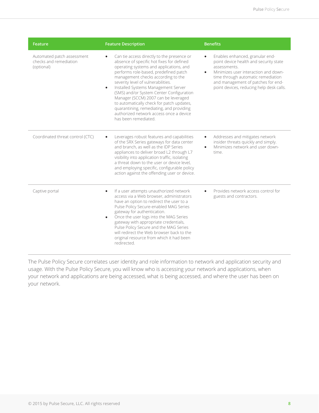| <b>Feature</b>                                                     | <b>Feature Description</b>                                                                                                                                                                                                                                                                                                                                                                                                                                                                                                                                               | <b>Benefits</b>                                                                                                                                                                                                                                                        |
|--------------------------------------------------------------------|--------------------------------------------------------------------------------------------------------------------------------------------------------------------------------------------------------------------------------------------------------------------------------------------------------------------------------------------------------------------------------------------------------------------------------------------------------------------------------------------------------------------------------------------------------------------------|------------------------------------------------------------------------------------------------------------------------------------------------------------------------------------------------------------------------------------------------------------------------|
| Automated patch assessment<br>checks and remediation<br>(optional) | Can tie access directly to the presence or<br>$\bullet$<br>absence of specific hot fixes for defined<br>operating systems and applications, and<br>performs role-based, predefined patch<br>management checks according to the<br>severity level of vulnerabilities.<br>Installed Systems Management Server<br>$\bullet$<br>(SMS) and/or System Center Configuration<br>Manager (SCCM) 2007 can be leveraged<br>to automatically check for patch updates,<br>quarantining, remediating, and providing<br>authorized network access once a device<br>has been remediated. | Enables enhanced, granular end-<br>$\bullet$<br>point device health and security state<br>assessments.<br>Minimizes user interaction and down-<br>time through automatic remediation<br>and management of patches for end-<br>point devices, reducing help desk calls. |
| Coordinated threat control (CTC)                                   | Leverages robust features and capabilities<br>of the SRX Series gateways for data center<br>and branch, as well as the IDP Series<br>appliances to deliver broad L2 through L7<br>visibility into application traffic, isolating<br>a threat down to the user or device level,<br>and employing specific, configurable policy<br>action against the offending user or device.                                                                                                                                                                                            | Addresses and mitigates network<br>$\bullet$<br>insider threats quickly and simply.<br>Minimizes network and user down-<br>$\bullet$<br>time                                                                                                                           |
| Captive portal                                                     | If a user attempts unauthorized network<br>access via a Web browser, administrators<br>have an option to redirect the user to a<br>Pulse Policy Secure-enabled MAG Series<br>gateway for authentication.<br>Once the user logs into the MAG Series<br>$\bullet$<br>gateway with appropriate credentials,<br>Pulse Policy Secure and the MAG Series<br>will redirect the Web browser back to the<br>original resource from which it had been<br>redirected.                                                                                                               | Provides network access control for<br>$\bullet$<br>guests and contractors.                                                                                                                                                                                            |

The Pulse Policy Secure correlates user identity and role information to network and application security and usage. With the Pulse Policy Secure, you will know who is accessing your network and applications, when your network and applications are being accessed, what is being accessed, and where the user has been on your network.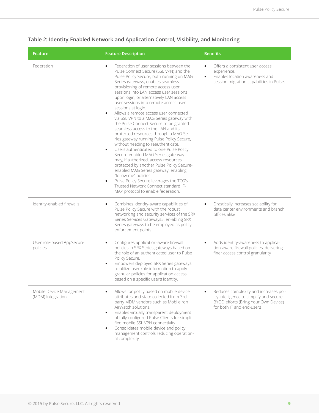| Feature                                       | <b>Feature Description</b>                                                                                                                                                                                                                                                                                                                                                                                                                                                                                                                                                                                                                                                                                                                                                                                                                                                                                                                                                                                                                                                        | <b>Benefits</b>                                                                                                                                       |
|-----------------------------------------------|-----------------------------------------------------------------------------------------------------------------------------------------------------------------------------------------------------------------------------------------------------------------------------------------------------------------------------------------------------------------------------------------------------------------------------------------------------------------------------------------------------------------------------------------------------------------------------------------------------------------------------------------------------------------------------------------------------------------------------------------------------------------------------------------------------------------------------------------------------------------------------------------------------------------------------------------------------------------------------------------------------------------------------------------------------------------------------------|-------------------------------------------------------------------------------------------------------------------------------------------------------|
| Federation                                    | Federation of user sessions between the<br>$\bullet$<br>Pulse Connect Secure (SSL VPN) and the<br>Pulse Policy Secure, both running on MAG<br>Series gateways, enables seamless<br>provisioning of remote access user<br>sessions into LAN access user sessions<br>upon login, or alternatively LAN access<br>user sessions into remote access user<br>sessions at login.<br>Allows a remote access user connected<br>$\bullet$<br>via SSL VPN to a MAG Series gateway with<br>the Pulse Connect Secure to be granted<br>seamless access to the LAN and its<br>protected resources through a MAG Se-<br>ries gateway running Pulse Policy Secure,<br>without needing to reauthenticate.<br>Users authenticated to one Pulse Policy<br>$\bullet$<br>Secure-enabled MAG Series gate-way<br>may, if authorized, access resources<br>protected by another Pulse Policy Secure-<br>enabled MAG Series gateway, enabling<br>"follow-me" policies.<br>Pulse Policy Secure leverages the TCG's<br>$\bullet$<br>Trusted Network Connect standard IF-<br>MAP protocol to enable federation. | Offers a consistent user access<br>experience.<br>Enables location awareness and<br>session migration capabilities in Pulse.                          |
| Identity-enabled firewalls                    | Combines identity-aware capabilities of<br>$\bullet$<br>Pulse Policy Secure with the robust<br>networking and security services of the SRX<br>Series Services Gateways5, en-abling SRX<br>Series gateways to be employed as policy<br>enforcement points                                                                                                                                                                                                                                                                                                                                                                                                                                                                                                                                                                                                                                                                                                                                                                                                                          | Drastically increases scalability for<br>data center environments and branch<br>offices alike                                                         |
| User role-based AppSecure<br>policies         | Configures application-aware firewall<br>$\bullet$<br>policies in SRX Series gateways based on<br>the role of an authenticated user to Pulse<br>Policy Secure.<br>Empowers deployed SRX Series gateways<br>$\bullet$<br>to utilize user role information to apply<br>granular policies for application access<br>based on a specific user's identity.                                                                                                                                                                                                                                                                                                                                                                                                                                                                                                                                                                                                                                                                                                                             | Adds identity-awareness to applica-<br>tion-aware firewall policies, delivering<br>finer access control granularity                                   |
| Mobile Device Management<br>(MDM) Integration | Allows for policy based on mobile device<br>attributes and state collected from 3rd<br>party MDM vendors such as MobileIron<br>AirWatch solutions.<br>Enables virtually transparent deployment<br>$\bullet$<br>of fully configured Pulse Clients for simpli-<br>fied mobile SSL VPN connectivity<br>Consolidates mobile device and policy<br>management controls reducing operation-<br>al complexity                                                                                                                                                                                                                                                                                                                                                                                                                                                                                                                                                                                                                                                                             | Reduces complexity and increases pol-<br>icy intelligence to simplify and secure<br>BYOD efforts (Bring Your Own Device)<br>for both IT and end-users |

### **Table 2: Identity-Enabled Network and Application Control, Visibility, and Monitoring**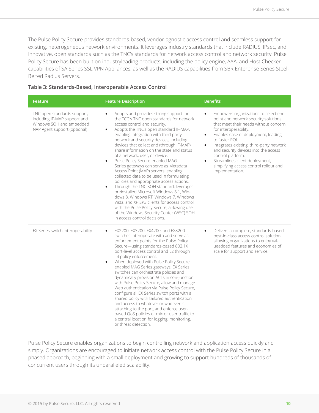The Pulse Policy Secure provides standards-based, vendor-agnostic access control and seamless support for existing, heterogeneous network environments. It leverages industry standards that include RADIUS, IPsec, and innovative, open standards such as the TNC's standards for network access control and network security. Pulse Policy Secure has been built on industryleading products, including the policy engine, AAA, and Host Checker capabilities of SA Series SSL VPN Appliances, as well as the RADIUS capabilities from SBR Enterprise Series Steel-Belted Radius Servers.

| Table 3: Standards-Based, Interoperable Access Control |  |  |
|--------------------------------------------------------|--|--|
|--------------------------------------------------------|--|--|

| Feature                                                                                                                 | <b>Feature Description</b>                                                                                                                                                                                                                                                                                                                                                                                                                                                                                                                                                                                                                                                                                                                                                                                                                                                                                                                               | <b>Benefits</b>                                                                                                                                                                                                                                                                                                                                                                                                                                                      |
|-------------------------------------------------------------------------------------------------------------------------|----------------------------------------------------------------------------------------------------------------------------------------------------------------------------------------------------------------------------------------------------------------------------------------------------------------------------------------------------------------------------------------------------------------------------------------------------------------------------------------------------------------------------------------------------------------------------------------------------------------------------------------------------------------------------------------------------------------------------------------------------------------------------------------------------------------------------------------------------------------------------------------------------------------------------------------------------------|----------------------------------------------------------------------------------------------------------------------------------------------------------------------------------------------------------------------------------------------------------------------------------------------------------------------------------------------------------------------------------------------------------------------------------------------------------------------|
| TNC open standards support,<br>including IF-MAP support and<br>Windows SOH and embedded<br>NAP Agent support (optional) | Adopts and provides strong support for<br>$\bullet$<br>the TCG's TNC open standards for network<br>access control and security.<br>Adopts the TNC's open standard IF-MAP,<br>$\bullet$<br>enabling integration with third-party<br>network and security devices, including<br>devices that collect and (through IF-MAP)<br>share information on the state and status<br>of a network, user, or device.<br>Pulse Policy Secure-enabled MAG<br>$\bullet$<br>Series gateways can serve as Metadata<br>Access Point (MAP) servers, enabling<br>collected data to be used in formulating<br>policies and appropriate access actions.<br>Through the TNC SOH standard, leverages<br>$\bullet$<br>preinstalled Microsoft Windows 8.1, Win-<br>dows 8, Windows RT, Windows 7, Windows<br>Vista, and XP SP3 clients for access control<br>with the Pulse Policy Secure, al-lowing use<br>of the Windows Security Center (WSC) SOH<br>in access control decisions. | Empowers organizations to select end-<br>$\bullet$<br>point and network security solutions<br>that meet their needs without concern<br>for interoperability.<br>Enables ease of deployment, leading<br>$\bullet$<br>to faster ROI.<br>Integrates existing, third-party network<br>$\bullet$<br>and security devices into the access<br>control platform.<br>Streamlines client deployment,<br>$\bullet$<br>simplifying access control rollout and<br>implementation. |
| EX Series switch interoperability                                                                                       | EX2200, EX3200, EX4200, and EX8200<br>$\bullet$<br>switches interoperate with and serve as<br>enforcement points for the Pulse Policy<br>Secure-using standards-based 802.1X<br>port-level access control and L2 through<br>L4 policy enforcement.<br>When deployed with Pulse Policy Secure<br>$\bullet$<br>enabled MAG Series gateways, EX Series<br>switches can orchestrate policies and<br>dynamically provision ACLs in con-junction<br>with Pulse Policy Secure, allow and manage<br>Web authentication via Pulse Policy Secure,<br>configure all EX Series switch ports with a<br>shared policy with tailored authentication<br>and access to whatever or whoever is<br>attaching to the port, and enforce user-<br>based QoS policies or mirror user traffic to<br>a central location for logging, monitoring,<br>or threat detection.                                                                                                          | Delivers a complete, standards-based,<br>$\bullet$<br>best-in-class access control solution,<br>allowing organizations to enjoy val-<br>ueadded features and economies of<br>scale for support and service.                                                                                                                                                                                                                                                          |

Pulse Policy Secure enables organizations to begin controlling network and application access quickly and simply. Organizations are encouraged to initiate network access control with the Pulse Policy Secure in a phased approach, beginning with a small deployment and growing to support hundreds of thousands of concurrent users through its unparalleled scalability.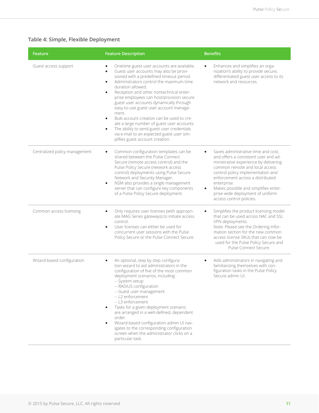### **Table 4: Simple, Flexible Deployment**

| Feature                       | <b>Feature Description</b>                                                                                                                                                                                                                                                                                                                                                                                                                                                                                                                                                                                                                                                       | <b>Benefits</b>                                                                                                                                                                                                                                                                                                                                                     |
|-------------------------------|----------------------------------------------------------------------------------------------------------------------------------------------------------------------------------------------------------------------------------------------------------------------------------------------------------------------------------------------------------------------------------------------------------------------------------------------------------------------------------------------------------------------------------------------------------------------------------------------------------------------------------------------------------------------------------|---------------------------------------------------------------------------------------------------------------------------------------------------------------------------------------------------------------------------------------------------------------------------------------------------------------------------------------------------------------------|
| Guest access support          | Onetime guest user accounts are available.<br>Guest user accounts may also be provi-<br>$\bullet$<br>sioned with a predefined timeout period.<br>Administrators control the maximum time<br>$\bullet$<br>duration allowed.<br>Reception and other nontechnical enter-<br>$\bullet$<br>prise employees can host/provision secure<br>guest user accounts dynamically through<br>easy-to-use guest user account manage-<br>ment.<br>Bulk account creation can be used to cre-<br>$\bullet$<br>ate a large number of guest user accounts.<br>The ability to send guest user credentials<br>$\bullet$<br>via e-mail to an expected guest user sim-<br>plifies guest account creation. | Enhances and simplifies an orga-<br>nization's ability to provide secure,<br>differentiated guest user access to its<br>network and resources.                                                                                                                                                                                                                      |
| Centralized policy management | Common configuration templates can be<br>$\bullet$<br>shared between the Pulse Connect<br>Secure (remote access control) and the<br>Pulse Policy Secure (network access<br>control) deployments using Pulse Secure<br>Network and Security Manager.<br>NSM also provides a single management<br>$\bullet$<br>server that can configure key components<br>of a Pulse Policy Secure deployment.                                                                                                                                                                                                                                                                                    | Saves administrative time and cost,<br>and offers a consistent user and ad-<br>ministrative experience by delivering<br>common remote and local access<br>control policy implementation and<br>enforcement across a distributed<br>enterprise.<br>Makes possible and simplifies enter-<br>$\bullet$<br>prise-wide deployment of uniform<br>access control policies. |
| Common access licensing       | Only requires user licenses (with appropri-<br>٠<br>ate MAG Series gateways) to initiate access<br>control.<br>User licenses can either be used for<br>$\bullet$<br>concurrent user sessions with the Pulse<br>Policy Secure or the Pulse Connect Secure.                                                                                                                                                                                                                                                                                                                                                                                                                        | Simplifies the product licensing model<br>$\bullet$<br>that can be used across NAC and SSL<br>VPN deployments.<br>Note: Please see the Ordering Infor-<br>mation section for the new common<br>access license SKUs that can now be<br>used for the Pulse Policy Secure and<br>Pulse Connect Secure.                                                                 |
| Wizard-based configuration    | An optional, step by step configura-<br>$\bullet$<br>tion wizard to aid administrators in the<br>configuration of five of the most common<br>deployment scenarios, including:<br>-- System setup<br>-- RADIUS configuration<br>-- Guest user management<br>-- L2 enforcement<br>-- L3 enforcement<br>Tasks for a given deployment scenario<br>$\bullet$<br>are arranged in a well-defined, dependent<br>order.<br>Wizard-based configuration admin UI nav-<br>igates to the corresponding configuration<br>screen when the administrator clicks on a<br>particular task.                                                                                                         | Aids administrators in navigating and<br>٠<br>familiarizing themselves with con-<br>figuration tasks in the Pulse Policy<br>Secure admin UI.                                                                                                                                                                                                                        |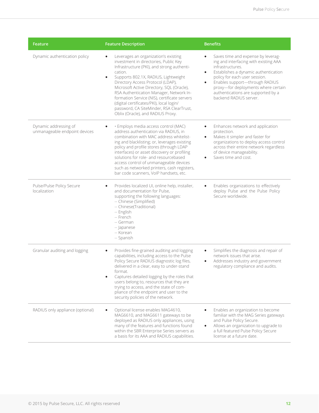| Feature                                                | <b>Feature Description</b>                                                                                                                                                                                                                                                                                                                                                                                                                                                                            | <b>Benefits</b>                                                                                                                                                                                                                                                                                                                             |
|--------------------------------------------------------|-------------------------------------------------------------------------------------------------------------------------------------------------------------------------------------------------------------------------------------------------------------------------------------------------------------------------------------------------------------------------------------------------------------------------------------------------------------------------------------------------------|---------------------------------------------------------------------------------------------------------------------------------------------------------------------------------------------------------------------------------------------------------------------------------------------------------------------------------------------|
| Dynamic authentication policy                          | Leverages an organization's existing<br>investment in directories, Public Key<br>Infrastructure (PKI), and strong authenti-<br>cation.<br>Supports 802.1X, RADIUS, Lightweight<br>$\bullet$<br>Directory Access Protocol (LDAP),<br>Microsoft Active Directory, SQL (Oracle),<br>RSA Authentication Manager, Network In-<br>formation Service (NIS), certificate servers<br>(digital certificates/PKI), local login/<br>password, CA SiteMinder, RSA ClearTrust,<br>Oblix (Oracle), and RADIUS Proxy. | Saves time and expense by leverag-<br>ing and interfacing with existing AAA<br>infrastructures.<br>Establishes a dynamic authentication<br>$\bullet$<br>policy for each user session.<br>Enables support-through RADIUS<br>$\bullet$<br>proxy-for deployments where certain<br>authentications are supported by a<br>backend RADIUS server. |
| Dynamic addressing of<br>unmanageable endpoint devices | · Employs media access control (MAC)<br>address authentication via RADIUS, in<br>combination with MAC address whitelist-<br>ing and blacklisting; or, leverages existing<br>policy and profile stores (through LDAP<br>interfaces) or asset discovery or profiling<br>solutions for role- and resourcebased<br>access control of unmanageable devices<br>such as networked printers, cash registers,<br>bar code scanners, VoIP handsets, etc.                                                        | Enhances network and application<br>$\bullet$<br>protection.<br>Makes it simpler and faster for<br>$\bullet$<br>organizations to deploy access control<br>across their entire network regardless<br>of device manageability.<br>Saves time and cost.                                                                                        |
| Pulse/Pulse Policy Secure<br>localization              | Provides localized UI, online help, installer,<br>and documentation for Pulse,<br>supporting the following languages:<br>-- Chinese (Simplified)<br>-- Chinese(Traditional)<br>-- English<br>-- French<br>-- German<br>-- Japanese<br>-- Korean<br>-- Spanish                                                                                                                                                                                                                                         | Enables organizations to effectively<br>deploy Pulse and the Pulse Policy<br>Secure worldwide.                                                                                                                                                                                                                                              |
| Granular auditing and logging                          | Provides fine-grained auditing and logging<br>capabilities, including access to the Pulse<br>Policy Secure RADIUS diagnostic log files,<br>delivered in a clear, easy to under-stand<br>format.<br>Captures detailed logging by the roles that<br>users belong to, resources that they are<br>trying to access, and the state of com-<br>pliance of the endpoint and user to the<br>security policies of the network.                                                                                 | Simplifies the diagnosis and repair of<br>$\bullet$<br>network issues that arise.<br>Addresses industry and government<br>$\bullet$<br>regulatory compliance and audits.                                                                                                                                                                    |
| RADIUS only appliance (optional)                       | Optional license enables MAG4610,<br>MAG6610, and MAG6611 gateways to be<br>deployed as RADIUS only appliances, using<br>many of the features and functions found<br>within the SBR Enterprise Series servers as<br>a basis for its AAA and RADIUS capabilities.                                                                                                                                                                                                                                      | Enables an organization to become<br>familiar with the MAG Series gateways<br>and Pulse Policy Secure.<br>Allows an organization to upgrade to<br>$\bullet$<br>a full featured Pulse Policy Secure<br>license at a future date.                                                                                                             |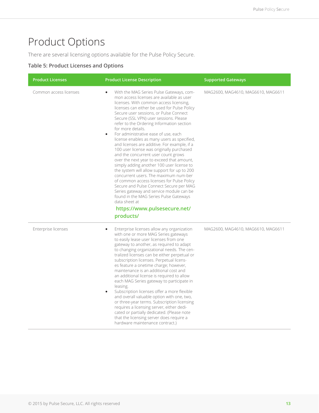# Product Options

There are several licensing options available for the Pulse Policy Secure.

#### **Table 5: Product Licenses and Options**

| <b>Product Licenses</b> | <b>Product License Description</b>                                                                                                                                                                                                                                                                                                                                                                                                                                                                                                                                                                                                                                                                                                                                                                                                                                                                                                                                                                                         | <b>Supported Gateways</b>          |
|-------------------------|----------------------------------------------------------------------------------------------------------------------------------------------------------------------------------------------------------------------------------------------------------------------------------------------------------------------------------------------------------------------------------------------------------------------------------------------------------------------------------------------------------------------------------------------------------------------------------------------------------------------------------------------------------------------------------------------------------------------------------------------------------------------------------------------------------------------------------------------------------------------------------------------------------------------------------------------------------------------------------------------------------------------------|------------------------------------|
| Common access licenses  | With the MAG Series Pulse Gateways, com-<br>$\bullet$<br>mon access licenses are available as user<br>licenses. With common access licensing,<br>licenses can either be used for Pulse Policy<br>Secure user sessions, or Pulse Connect<br>Secure (SSL VPN) user sessions. Please<br>refer to the Ordering Information section<br>for more details.<br>For administrative ease of use, each<br>$\bullet$<br>license enables as many users as specified,<br>and licenses are additive. For example, if a<br>100 user license was originally purchased<br>and the concurrent user count grows<br>over the next year to exceed that amount,<br>simply adding another 100 user license to<br>the system will allow support for up to 200<br>concurrent users. The maximum num-ber<br>of common access licenses for Pulse Policy<br>Secure and Pulse Connect Secure per MAG<br>Series gateway and service module can be<br>found in the MAG Series Pulse Gateways<br>data sheet at<br>https://www.pulsesecure.net/<br>products/ | MAG2600, MAG4610, MAG6610, MAG6611 |
| Enterprise licenses     | Enterprise licenses allow any organization<br>$\bullet$<br>with one or more MAG Series gateways<br>to easily lease user licenses from one<br>gateway to another, as required to adapt<br>to changing organizational needs. The cen-<br>tralized licenses can be either perpetual or<br>subscription licenses. Perpetual licens-<br>es feature a onetime charge; however,<br>maintenance is an additional cost and<br>an additional license is required to allow<br>each MAG Series gateway to participate in<br>leasing.<br>Subscription licenses offer a more flexible<br>$\bullet$<br>and overall valuable option with one, two,<br>or three-year terms. Subscription licensing<br>requires a licensing server, either dedi-<br>cated or partially dedicated. (Please note<br>that the licensing server does require a<br>hardware maintenance contract.)                                                                                                                                                                | MAG2600, MAG4610, MAG6610, MAG6611 |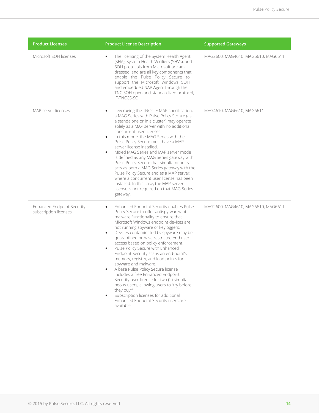| <b>Product Licenses</b>                                    | <b>Product License Description</b>                                                                                                                                                                                                                                                                                                                                                                                                                                                                                                                                                                                                                                                                                                                                                                                               | <b>Supported Gateways</b>          |
|------------------------------------------------------------|----------------------------------------------------------------------------------------------------------------------------------------------------------------------------------------------------------------------------------------------------------------------------------------------------------------------------------------------------------------------------------------------------------------------------------------------------------------------------------------------------------------------------------------------------------------------------------------------------------------------------------------------------------------------------------------------------------------------------------------------------------------------------------------------------------------------------------|------------------------------------|
| Microsoft SOH licenses                                     | The licensing of the System Health Agent<br>$\bullet$<br>(SHA), System Health Verifiers (SHVs), and<br>SOH protocols from Microsoft are ad-<br>dressed, and are all key components that<br>enable the Pulse Policy Secure to<br>support the Microsoft Windows SOH<br>and embedded NAP Agent through the<br>TNC SOH open and standardized protocol,<br>IF-TNCCS-SOH.                                                                                                                                                                                                                                                                                                                                                                                                                                                              | MAG2600, MAG4610, MAG6610, MAG6611 |
| MAP server licenses                                        | Leveraging the TNC's IF-MAP specification,<br>$\bullet$<br>a MAG Series with Pulse Policy Secure (as<br>a standalone or in a cluster) may operate<br>solely as a MAP server with no additional<br>concurrent user licenses.<br>In this mode, the MAG Series with the<br>$\bullet$<br>Pulse Policy Secure must have a MAP<br>server license installed.<br>Mixed MAG Series and MAP server mode<br>$\bullet$<br>is defined as any MAG Series gateway with<br>Pulse Policy Secure that simulta-neously<br>acts as both a MAG Series gateway with the<br>Pulse Policy Secure and as a MAP server,<br>where a concurrent user license has been<br>installed. In this case, the MAP server<br>license is not required on that MAG Series<br>gateway.                                                                                   | MAG4610, MAG6610, MAG6611          |
| <b>Enhanced Endpoint Security</b><br>subscription licenses | Enhanced Endpoint Security enables Pulse<br>$\bullet$<br>Policy Secure to offer antispy-ware/anti-<br>malware functionality to ensure that<br>Microsoft Windows endpoint devices are<br>not running spyware or keyloggers.<br>Devices contaminated by spyware may be<br>$\bullet$<br>quarantined or have restricted end user<br>access based on policy enforcement.<br>Pulse Policy Secure with Enhanced<br>$\bullet$<br>Endpoint Security scans an end-point's<br>memory, registry, and load points for<br>spyware and malware.<br>A base Pulse Policy Secure license<br>$\bullet$<br>includes a free Enhanced Endpoint<br>Security user license for two (2) simulta-<br>neous users, allowing users to "try before<br>they buy."<br>Subscription licenses for additional<br>Enhanced Endpoint Security users are<br>available. | MAG2600, MAG4610, MAG6610, MAG6611 |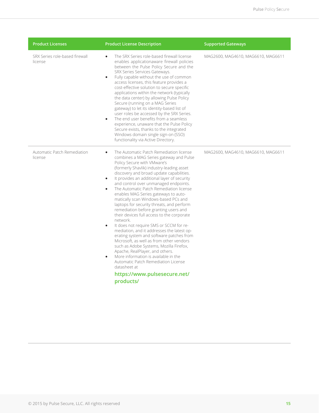| <b>Product Licenses</b>                   | <b>Product License Description</b>                                                                                                                                                                                                                                                                                                                                                                                                                                                                                                                                                                                                                                                                                                                                                                                                                                                                                                                                                                                                                        | <b>Supported Gateways</b>          |
|-------------------------------------------|-----------------------------------------------------------------------------------------------------------------------------------------------------------------------------------------------------------------------------------------------------------------------------------------------------------------------------------------------------------------------------------------------------------------------------------------------------------------------------------------------------------------------------------------------------------------------------------------------------------------------------------------------------------------------------------------------------------------------------------------------------------------------------------------------------------------------------------------------------------------------------------------------------------------------------------------------------------------------------------------------------------------------------------------------------------|------------------------------------|
| SRX Series role-based firewall<br>license | The SRX Series role-based firewall license<br>$\bullet$<br>enables applicationaware firewall policies<br>between the Pulse Policy Secure and the<br>SRX Series Services Gateways.<br>Fully capable without the use of common<br>$\bullet$<br>access licenses, this feature provides a<br>cost-effective solution to secure specific<br>applications within the network (typically<br>the data center) by allowing Pulse Policy<br>Secure (running on a MAG Series<br>gateway) to let its identity-based list of<br>user roles be accessed by the SRX Series.<br>The end user benefits from a seamless<br>$\bullet$<br>experience, unaware that the Pulse Policy<br>Secure exists, thanks to the integrated<br>Windows domain single sign-on (SSO)<br>functionality via Active Directory.                                                                                                                                                                                                                                                                  | MAG2600, MAG4610, MAG6610, MAG6611 |
| Automatic Patch Remediation<br>license    | The Automatic Patch Remediation license<br>$\bullet$<br>combines a MAG Series gateway and Pulse<br>Policy Secure with VMware's<br>(formerly Shavlik) industry-leading asset<br>discovery and broad update capabilities.<br>It provides an additional layer of security<br>$\bullet$<br>and control over unmanaged endpoints.<br>The Automatic Patch Remediation license<br>$\bullet$<br>enables MAG Series gateways to auto-<br>matically scan Windows-based PCs and<br>laptops for security threats, and perform<br>remediation before granting users and<br>their devices full access to the corporate<br>network.<br>It does not require SMS or SCCM for re-<br>$\bullet$<br>mediation, and it addresses the latest op-<br>erating system and software patches from<br>Microsoft, as well as from other vendors<br>such as Adobe Systems, Mozilla Firefox,<br>Apache, RealPlayer, and others.<br>More information is available in the<br>$\bullet$<br>Automatic Patch Remediation License<br>datasheet at<br>https://www.pulsesecure.net/<br>products/ | MAG2600, MAG4610, MAG6610, MAG6611 |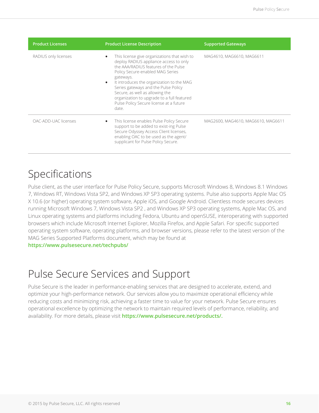| <b>Product Licenses</b> | <b>Product License Description</b>                                                                                                                                                                                                                                                                                                                                                                        | <b>Supported Gateways</b>          |
|-------------------------|-----------------------------------------------------------------------------------------------------------------------------------------------------------------------------------------------------------------------------------------------------------------------------------------------------------------------------------------------------------------------------------------------------------|------------------------------------|
| RADIUS only licenses    | This license give organizations that wish to<br>deploy RADIUS appliance access to only<br>the AAA/RADIUS features of the Pulse<br>Policy Secure-enabled MAG Series<br>gateways.<br>It introduces the organization to the MAG<br>Series gateways and the Pulse Policy<br>Secure, as well as allowing the<br>organization to upgrade to a full featured<br>Pulse Policy Secure license at a future<br>date. | MAG4610, MAG6610, MAG6611          |
| OAC-ADD-UAC licenses    | This license enables Pulse Policy Secure<br>support to be added to exist-ing Pulse<br>Secure Odyssey Access Client licenses,<br>enabling OAC to be used as the agent/<br>supplicant for Pulse Policy Secure.                                                                                                                                                                                              | MAG2600, MAG4610, MAG6610, MAG6611 |

# Specifications

Pulse client, as the user interface for Pulse Policy Secure, supports Microsoft Windows 8, Windows 8.1 Windows 7, Windows RT, Windows Vista SP2, and Windows XP SP3 operating systems. Pulse also supports Apple Mac OS X 10.6 (or higher) operating system software, Apple iOS, and Google Android. Clientless mode secures devices running Microsoft Windows 7, Windows Vista SP2 , and Windows XP SP3 operating systems, Apple Mac OS, and Linux operating systems and platforms including Fedora, Ubuntu and openSUSE, interoperating with supported browsers which include Microsoft Internet Explorer, Mozilla Firefox, and Apple Safari. For specific supported operating system software, operating platforms, and browser versions, please refer to the latest version of the MAG Series Supported Platforms document, which may be found at

**https://www.pulsesecure.net/techpubs/**

# Pulse Secure Services and Support

Pulse Secure is the leader in performance-enabling services that are designed to accelerate, extend, and optimize your high-performance network. Our services allow you to maximize operational efficiency while reducing costs and minimizing risk, achieving a faster time to value for your network. Pulse Secure ensures operational excellence by optimizing the network to maintain required levels of performance, reliability, and availability. For more details, please visit **https://www.pulsesecure.net/products/.**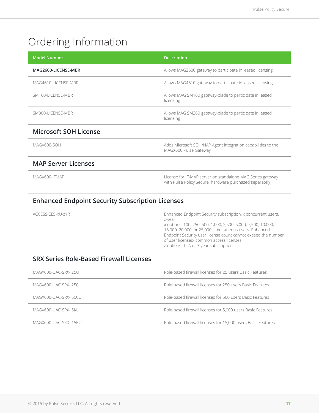# Ordering Information

| <b>Model Number</b>          | <b>Description</b>                                                                                                     |
|------------------------------|------------------------------------------------------------------------------------------------------------------------|
| MAG2600-LICENSE-MBR          | Allows MAG2600 gateway to participate in leased licensing                                                              |
| MAG4610-LICENSE-MBR          | Allows MAG4610 gateway to participate in leased licensing                                                              |
| SM160-LICENSE-MBR            | Allows MAG SM160 gateway-blade to participate in leased<br>licensing                                                   |
| SM360-LICENSE-MBR            | Allows MAG SM360 gateway-blade to participate in leased<br>licensing                                                   |
| <b>Microsoft SOH License</b> |                                                                                                                        |
| MAGX600-SOH                  | Adds Microsoft SOH/NAP Agent integration capabilities to the<br>MAGX600 Pulse Gateway                                  |
| <b>MAP Server Licenses</b>   |                                                                                                                        |
| MAGX600-IFMAP                | License for IF-MAP server on standalone MAG Series gateway<br>with Pulse Policy Secure (hardware purchased separately) |

### **Enhanced Endpoint Security Subscription Licenses**

Enhanced Endpoint Security subscription, x concurrent users, z-year x options: 100, 250, 500, 1,000, 2,500, 5,000, 7,500, 10,000, 15,000, 20,000, or 25,000 simultaneous users. Enhanced Endpoint Security user license count cannot exceed the number of user licenses/ common access licenses. z options: 1, 2, or 3 year subscription

# **SRX Series Role-Based Firewall Licenses**

| MAGX600-UAC-SRX- 25U  | Role-based firewall licenses for 25 users Basic Features     |
|-----------------------|--------------------------------------------------------------|
| MAGX600-UAC-SRX- 250U | Role-based firewall licenses for 250 users Basic Features    |
| MAGX600-UAC-SRX-500U  | Role-based firewall licenses for 500 users Basic Features    |
| MAGX600-UAC-SRX- 5KU  | Role-based firewall licenses for 5,000 users Basic Features  |
| MAGX600-UAC-SRX- 15KU | Role-based firewall licenses for 15,000 users Basic Features |